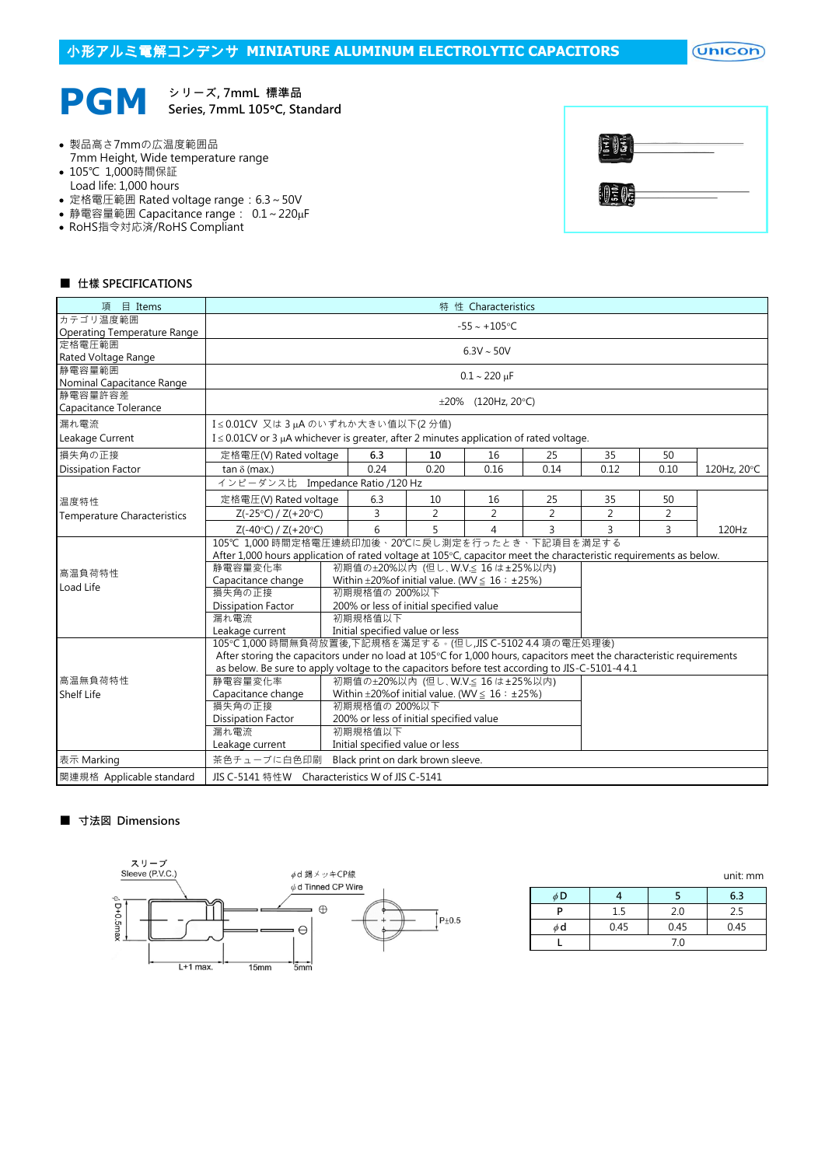# 小形アルミ電解コンデンサ **MINIATURE ALUMINUM ELECTROLYTIC CAPACITORS**

 $($ Unicon $)$ 



シリーズ, 7mmL 標準品 Series, 7mmL 105°C, Standard

- 製品高さ7mmの広温度範囲品 7mm Height, Wide temperature range
- 105℃ 1,000時間保証
- Load life: 1,000 hours
- 定格電圧範囲 Rated voltage range:6.3~50V
- 静電容量範囲 Capacitance range: 0.1~220µF
- RoHS指令対応済/RoHS Compliant

| $\ket{\tilde{\Xi}(\tilde{\Xi})}$ |  |
|----------------------------------|--|
| 130                              |  |

#### ■ 仕樣 SPECIFICATIONS

| 項<br>$\Box$ Items                    | 特 性 Characteristics                                                                                                  |                                                                                        |      |                          |                |                |                |             |  |  |  |
|--------------------------------------|----------------------------------------------------------------------------------------------------------------------|----------------------------------------------------------------------------------------|------|--------------------------|----------------|----------------|----------------|-------------|--|--|--|
| カテゴリ温度範囲                             | $-55 - +105$ °C                                                                                                      |                                                                                        |      |                          |                |                |                |             |  |  |  |
| Operating Temperature Range          |                                                                                                                      |                                                                                        |      |                          |                |                |                |             |  |  |  |
| 定格電圧範囲                               | $6.3V \sim 50V$                                                                                                      |                                                                                        |      |                          |                |                |                |             |  |  |  |
| Rated Voltage Range                  |                                                                                                                      |                                                                                        |      |                          |                |                |                |             |  |  |  |
| 静電容量範囲                               |                                                                                                                      |                                                                                        |      | $0.1 - 220 \mu F$        |                |                |                |             |  |  |  |
| Nominal Capacitance Range<br>静電容量許容差 |                                                                                                                      |                                                                                        |      |                          |                |                |                |             |  |  |  |
|                                      |                                                                                                                      |                                                                                        |      | $\pm 20\%$ (120Hz, 20°C) |                |                |                |             |  |  |  |
| Capacitance Tolerance                |                                                                                                                      |                                                                                        |      |                          |                |                |                |             |  |  |  |
| 漏れ電流                                 | I≤0.01CV 又は3µAのいずれか大きい値以下(2分値)                                                                                       |                                                                                        |      |                          |                |                |                |             |  |  |  |
| Leakage Current                      | $I \leq 0.01$ CV or 3 µA whichever is greater, after 2 minutes application of rated voltage.                         |                                                                                        |      |                          |                |                |                |             |  |  |  |
| 損失角の正接                               | 定格電圧(V) Rated voltage                                                                                                | 6.3                                                                                    | 10   | 16                       | 25             | 35             | 50             |             |  |  |  |
| <b>Dissipation Factor</b>            | tan $\delta$ (max.)                                                                                                  | 0.24                                                                                   | 0.20 | 0.16                     | 0.14           | 0.12           | 0.10           | 120Hz, 20°C |  |  |  |
|                                      | インピーダンス比 Impedance Ratio /120 Hz                                                                                     |                                                                                        |      |                          |                |                |                |             |  |  |  |
| 温度特性                                 | 定格電圧(V) Rated voltage                                                                                                | 6.3                                                                                    | 10   | 16                       | 25             | 35             | 50             |             |  |  |  |
| <b>Temperature Characteristics</b>   | $Z(-25°C) / Z(+20°C)$                                                                                                | 3                                                                                      | 2    | 2                        | $\overline{2}$ | $\overline{2}$ | $\overline{2}$ |             |  |  |  |
|                                      | $Z(-40°C) / Z(+20°C)$                                                                                                | 6                                                                                      | 5    | 4                        | 3              | 3              | 3              | 120Hz       |  |  |  |
|                                      | 105℃ 1,000 時間定格電圧連続印加後、20℃に戻し測定を行ったとき、下記項目を満足する                                                                      |                                                                                        |      |                          |                |                |                |             |  |  |  |
|                                      | After 1,000 hours application of rated voltage at 105°C, capacitor meet the characteristic requirements as below.    |                                                                                        |      |                          |                |                |                |             |  |  |  |
| 高温負荷特性                               | 静電容量変化率<br>初期值の±20%以内 (但し、W.V.≤ 16 は±25%以内)                                                                          |                                                                                        |      |                          |                |                |                |             |  |  |  |
| Load Life                            |                                                                                                                      | Within $\pm 20\%$ of initial value. (WV $\leq 16$ : $\pm 25\%$ )<br>Capacitance change |      |                          |                |                |                |             |  |  |  |
|                                      | 損失角の正接                                                                                                               | 初期規格值の 200%以下                                                                          |      |                          |                |                |                |             |  |  |  |
|                                      | <b>Dissipation Factor</b>                                                                                            | 200% or less of initial specified value                                                |      |                          |                |                |                |             |  |  |  |
|                                      | 漏れ電流<br>初期規格值以下                                                                                                      |                                                                                        |      |                          |                |                |                |             |  |  |  |
|                                      | Initial specified value or less<br>Leakage current                                                                   |                                                                                        |      |                          |                |                |                |             |  |  |  |
|                                      | 105°C 1,000 時間無負荷放置後,下記規格を滿足する。(但し,JIS C-5102 4.4 項の電圧処理後)                                                           |                                                                                        |      |                          |                |                |                |             |  |  |  |
|                                      | After storing the capacitors under no load at 105°C for 1,000 hours, capacitors meet the characteristic requirements |                                                                                        |      |                          |                |                |                |             |  |  |  |
|                                      | as below. Be sure to apply voltage to the capacitors before test according to JIS-C-5101-4 4.1                       |                                                                                        |      |                          |                |                |                |             |  |  |  |
| 高温無負荷特性                              | 静雷容量変化率<br>初期值の±20%以内 (但し、W.V.≤ 16 は±25%以内)                                                                          |                                                                                        |      |                          |                |                |                |             |  |  |  |
| Shelf Life                           | Capacitance change<br>Within $\pm 20\%$ of initial value. (WV $\leq 16$ : $\pm 25\%$ )<br>初期規格値の 200%以下              |                                                                                        |      |                          |                |                |                |             |  |  |  |
|                                      | 損失角の正接                                                                                                               |                                                                                        |      |                          |                |                |                |             |  |  |  |
|                                      | <b>Dissipation Factor</b>                                                                                            | 200% or less of initial specified value                                                |      |                          |                |                |                |             |  |  |  |
|                                      | 漏れ電流                                                                                                                 | 初期規格值以下                                                                                |      |                          |                |                |                |             |  |  |  |
|                                      | Leakage current                                                                                                      | Initial specified value or less                                                        |      |                          |                |                |                |             |  |  |  |
| 表示 Marking                           | 茶色チューブに白色印刷<br>Black print on dark brown sleeve.                                                                     |                                                                                        |      |                          |                |                |                |             |  |  |  |
| 関連規格 Applicable standard             | JIS C-5141 特性W Characteristics W of JIS C-5141                                                                       |                                                                                        |      |                          |                |                |                |             |  |  |  |

#### ■ 寸法図 Dimensions



|    |      |      | <u>GILL IIIII</u> |
|----|------|------|-------------------|
| φD |      |      | 6.3               |
| D  | 1.5  | 2.0  | 2.5               |
| φd | 0.45 | 0.45 | 0.45              |
|    |      | 7.0  |                   |